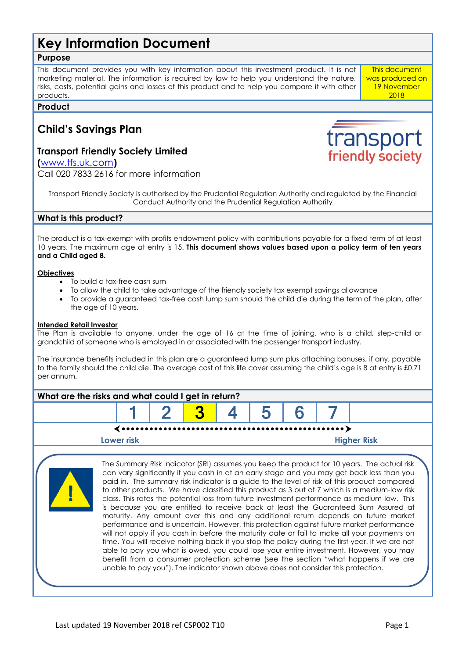# **Key Information Document**

# **Purpose**

This document provides you with key information about this investment product. It is not marketing material. The information is required by law to help you understand the nature, risks, costs, potential gains and losses of this product and to help you compare it with other products.

This document was produced on 19 November 2018

transport friendly society

# **Product**

# **Child's Savings Plan**

# **Transport Friendly Society Limited**

**(**[www.tfs.uk.com](http://www.tfs.uk.com/)**)**

Call 020 7833 2616 for more information

Transport Friendly Society is authorised by the Prudential Regulation Authority and regulated by the Financial Conduct Authority and the Prudential Regulation Authority

# **What is this product?**

The product is a tax-exempt with profits endowment policy with contributions payable for a fixed term of at least 10 years. The maximum age at entry is 15. **This document shows values based upon a policy term of ten years and a Child aged 8.**

#### **Objectives**

- To build a tax-free cash sum
- To allow the child to take advantage of the friendly society tax exempt savings allowance
- To provide a guaranteed tax-free cash lump sum should the child die during the term of the plan, after the age of 10 years.

#### **Intended Retail Investor**

The Plan is available to anyone, under the age of 16 at the time of joining, who is a child, step-child or grandchild of someone who is employed in or associated with the passenger transport industry.

The insurance benefits included in this plan are a guaranteed lump sum plus attaching bonuses, if any, payable to the family should the child die. The average cost of this life cover assuming the child's age is 8 at entry is £0.71 per annum.

| What are the risks and what could I get in return? |  |  |                         |  |  |  |                    |
|----------------------------------------------------|--|--|-------------------------|--|--|--|--------------------|
|                                                    |  |  | $1$   2   3   4   5   6 |  |  |  |                    |
| Lower risk                                         |  |  |                         |  |  |  | <b>Higher Risk</b> |
|                                                    |  |  |                         |  |  |  |                    |



The Summary Risk Indicator (SRI) assumes you keep the product for 10 years. The actual risk can vary significantly if you cash in at an early stage and you may get back less than you paid in. The summary risk indicator is a guide to the level of risk of this product compared to other products. We have classified this product as 3 out of 7 which is a medium-low risk class. This rates the potential loss from future investment performance as medium-low. This is because you are entitled to receive back at least the Guaranteed Sum Assured at maturity. Any amount over this and any additional return depends on future market performance and is uncertain. However, this protection against future market performance will not apply if you cash in before the maturity date or fail to make all your payments on time. You will receive nothing back if you stop the policy during the first year. If we are not able to pay you what is owed, you could lose your entire investment. However, you may benefit from a consumer protection scheme (see the section "what happens if we are unable to pay you"). The indicator shown above does not consider this protection.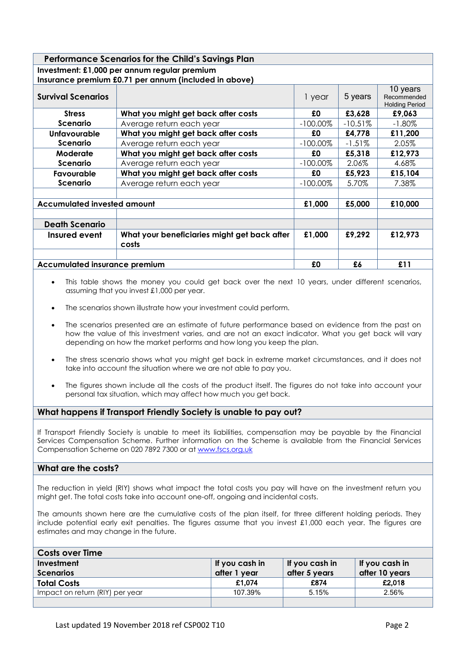| <b>Performance Scenarios for the Child's Savings Plan</b>                                                                                                                                                                       |                                                       |             |            |                                                  |
|---------------------------------------------------------------------------------------------------------------------------------------------------------------------------------------------------------------------------------|-------------------------------------------------------|-------------|------------|--------------------------------------------------|
| Investment: £1,000 per annum regular premium                                                                                                                                                                                    |                                                       |             |            |                                                  |
| Insurance premium £0.71 per annum (included in above)                                                                                                                                                                           |                                                       |             |            |                                                  |
| <b>Survival Scenarios</b>                                                                                                                                                                                                       |                                                       | 1 year      | 5 years    | 10 years<br>Recommended<br><b>Holding Period</b> |
| <b>Stress</b>                                                                                                                                                                                                                   | What you might get back after costs                   | £0          | £3,628     | £9,063                                           |
| Scenario                                                                                                                                                                                                                        | Average return each year                              | $-100.00\%$ | $-10.51\%$ | $-1.80\%$                                        |
| Unfavourable                                                                                                                                                                                                                    | What you might get back after costs                   | £0          | £4,778     | £11,200                                          |
| <b>Scenario</b>                                                                                                                                                                                                                 | Average return each year                              | $-100.00\%$ | $-1.51%$   | 2.05%                                            |
| Moderate                                                                                                                                                                                                                        | What you might get back after costs                   | £0          | £5,318     | £12,973                                          |
| <b>Scenario</b>                                                                                                                                                                                                                 | Average return each year                              | $-100.00\%$ | 2.06%      | 4.68%                                            |
| Favourable                                                                                                                                                                                                                      | What you might get back after costs                   | £0          | £5,923     | £15,104                                          |
| <b>Scenario</b>                                                                                                                                                                                                                 | Average return each year                              | $-100.00\%$ | 5.70%      | 7.38%                                            |
|                                                                                                                                                                                                                                 |                                                       |             |            |                                                  |
| <b>Accumulated invested amount</b>                                                                                                                                                                                              |                                                       | £1,000      | £5,000     | £10,000                                          |
|                                                                                                                                                                                                                                 |                                                       |             |            |                                                  |
| <b>Death Scenario</b>                                                                                                                                                                                                           |                                                       |             |            |                                                  |
| Insured event                                                                                                                                                                                                                   | What your beneficiaries might get back after<br>costs | £1,000      | £9,292     | £12,973                                          |
|                                                                                                                                                                                                                                 |                                                       |             |            |                                                  |
| <b>Accumulated insurance premium</b>                                                                                                                                                                                            | £0                                                    | £6          | £11        |                                                  |
| This table shows the money you could get back over the next 10 years, under different scenarios,<br>$\bullet$<br>assuming that you invest £1,000 per year.<br>The scenarios shown illustrate how your investment could perform. |                                                       |             |            |                                                  |
| $\bullet$                                                                                                                                                                                                                       |                                                       |             |            |                                                  |

- The scenarios presented are an estimate of future performance based on evidence from the past on how the value of this investment varies, and are not an exact indicator. What you get back will vary depending on how the market performs and how long you keep the plan.
- The stress scenario shows what you might get back in extreme market circumstances, and it does not take into account the situation where we are not able to pay you.
- The figures shown include all the costs of the product itself. The figures do not take into account your personal tax situation, which may affect how much you get back.

# **What happens if Transport Friendly Society is unable to pay out?**

If Transport Friendly Society is unable to meet its liabilities, compensation may be payable by the Financial Services Compensation Scheme. Further information on the Scheme is available from the Financial Services Compensation Scheme on 020 7892 7300 or a[t www.fscs.org.uk](http://www.fscs.org.uk/)

## **What are the costs?**

The reduction in yield (RIY) shows what impact the total costs you pay will have on the investment return you might get. The total costs take into account one-off, ongoing and incidental costs.

The amounts shown here are the cumulative costs of the plan itself, for three different holding periods. They include potential early exit penalties. The figures assume that you invest £1,000 each year. The figures are estimates and may change in the future.

| <b>Costs over Time</b>          |                |                |                                        |
|---------------------------------|----------------|----------------|----------------------------------------|
| Investment                      | If you cash in | If you cash in | $\parallel$ If you cash in $\parallel$ |
| <b>Scenarios</b>                | after 1 year   | after 5 years  | after 10 years                         |
| <b>Total Costs</b>              | £1.074         | £874           | £2.018                                 |
| Impact on return (RIY) per year | 107.39%        | 5.15%          | 2.56%                                  |
|                                 |                |                |                                        |